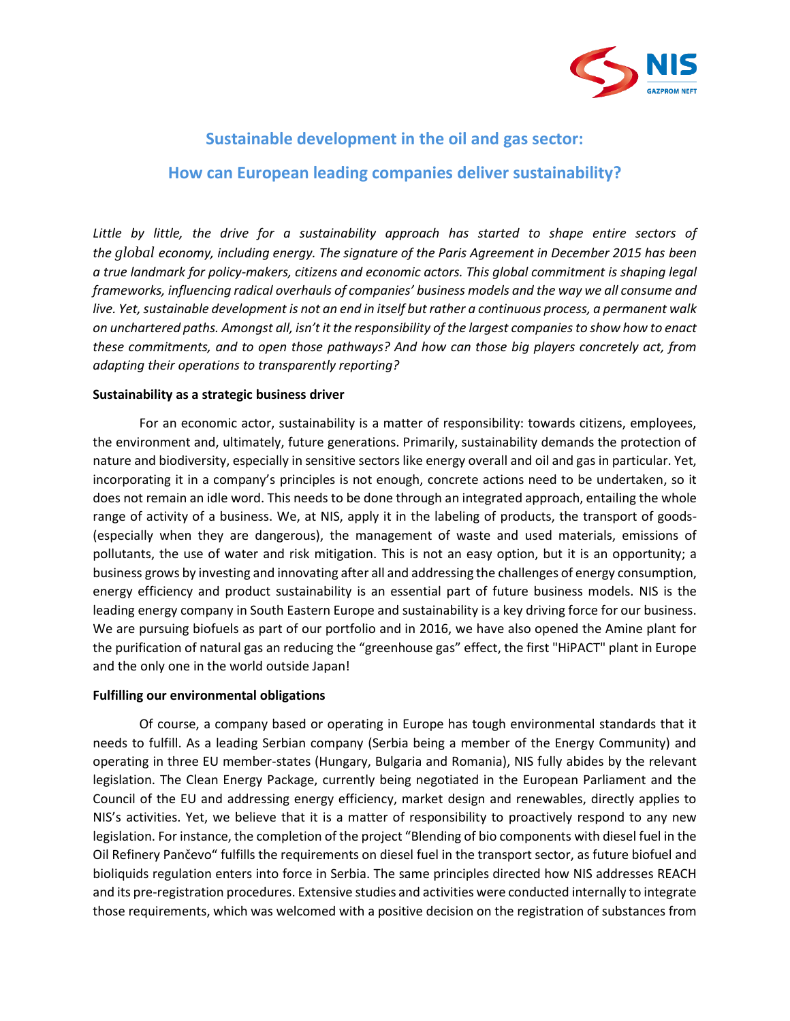

# **Sustainable development in the oil and gas sector:**

## **How can European leading companies deliver sustainability?**

*Little by little, the drive for a sustainability approach has started to shape entire sectors of the global economy, including energy. The signature of the Paris Agreement in December 2015 has been a true landmark for policy-makers, citizens and economic actors. This global commitment is shaping legal frameworks, influencing radical overhauls of companies' business models and the way we all consume and live. Yet, sustainable development is not an end in itself but rather a continuous process, a permanent walk on unchartered paths. Amongst all, isn't it the responsibility of the largest companies to show how to enact these commitments, and to open those pathways? And how can those big players concretely act, from adapting their operations to transparently reporting?*

#### **Sustainability as a strategic business driver**

For an economic actor, sustainability is a matter of responsibility: towards citizens, employees, the environment and, ultimately, future generations. Primarily, sustainability demands the protection of nature and biodiversity, especially in sensitive sectors like energy overall and oil and gas in particular. Yet, incorporating it in a company's principles is not enough, concrete actions need to be undertaken, so it does not remain an idle word. This needs to be done through an integrated approach, entailing the whole range of activity of a business. We, at NIS, apply it in the labeling of products, the transport of goods- (especially when they are dangerous), the management of waste and used materials, emissions of pollutants, the use of water and risk mitigation. This is not an easy option, but it is an opportunity; a business grows by investing and innovating after all and addressing the challenges of energy consumption, energy efficiency and product sustainability is an essential part of future business models. NIS is the leading energy company in South Eastern Europe and sustainability is a key driving force for our business. We are pursuing biofuels as part of our portfolio and in 2016, we have also opened the Amine plant for the purification of natural gas an reducing the "greenhouse gas" effect, the first "HiPACT" plant in Europe and the only one in the world outside Japan!

### **Fulfilling our environmental obligations**

Of course, a company based or operating in Europe has tough environmental standards that it needs to fulfill. As a leading Serbian company (Serbia being a member of the Energy Community) and operating in three EU member-states (Hungary, Bulgaria and Romania), NIS fully abides by the relevant legislation. The Clean Energy Package, currently being negotiated in the European Parliament and the Council of the EU and addressing energy efficiency, market design and renewables, directly applies to NIS's activities. Yet, we believe that it is a matter of responsibility to proactively respond to any new legislation. For instance, the completion of the project "Blending of bio components with diesel fuel in the Oil Refinery Pančevo" fulfills the requirements on diesel fuel in the transport sector, as future biofuel and bioliquids regulation enters into force in Serbia. The same principles directed how NIS addresses REACH and its pre-registration procedures. Extensive studies and activities were conducted internally to integrate those requirements, which was welcomed with a positive decision on the registration of substances from